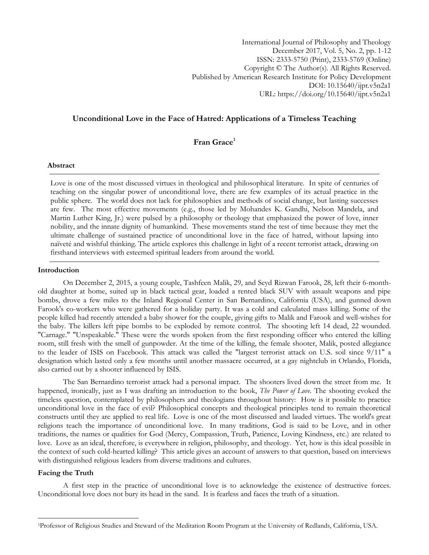International Journal of Philosophy and Theology December 2017, Vol. 5, No. 2, pp. 1-12 ISSN: 2333-5750 (Print), 2333-5769 (Online) Copyright © The Author(s). All Rights Reserved. Published by American Research Institute for Policy Development DOI: 10.15640/ijpt.v5n2a1 URL: https://doi.org/10.15640/ijpt.v5n2a1

# **Unconditional Love in the Face of Hatred: Applications of a Timeless Teaching**

# **Fran Grace<sup>1</sup>**

# **Abstract**

Love is one of the most discussed virtues in theological and philosophical literature. In spite of centuries of teaching on the singular power of unconditional love, there are few examples of its actual practice in the public sphere. The world does not lack for philosophies and methods of social change, but lasting successes are few. The most effective movements (e.g., those led by Mohandes K. Gandhi, Nelson Mandela, and Martin Luther King, Jr.) were pulsed by a philosophy or theology that emphasized the power of love, inner nobility, and the innate dignity of humankind. These movements stand the test of time because they met the ultimate challenge of sustained practice of unconditional love in the face of hatred, without lapsing into naïveté and wishful thinking. The article explores this challenge in light of a recent terrorist attack, drawing on firsthand interviews with esteemed spiritual leaders from around the world.

## **Introduction**

On December 2, 2015, a young couple, Tashfeen Malik, 29, and Seyd Rizwan Farook, 28, left their 6-monthold daughter at home, suited up in black tactical gear, loaded a rented black SUV with assault weapons and pipe bombs, drove a few miles to the Inland Regional Center in San Bernardino, California (USA), and gunned down Farook's co-workers who were gathered for a holiday party. It was a cold and calculated mass killing. Some of the people killed had recently attended a baby shower for the couple, giving gifts to Malik and Farook and well-wishes for the baby. The killers left pipe bombs to be exploded by remote control. The shooting left 14 dead, 22 wounded. "Carnage." "Unspeakable." These were the words spoken from the first responding officer who entered the killing room, still fresh with the smell of gunpowder. At the time of the killing, the female shooter, Malik, posted allegiance to the leader of ISIS on Facebook. This attack was called the "largest terrorist attack on U.S. soil since 9/11" a designation which lasted only a few months until another massacre occurred, at a gay nightclub in Orlando, Florida, also carried out by a shooter influenced by ISIS.

The San Bernardino terrorist attack had a personal impact. The shooters lived down the street from me. It happened, ironically, just as I was drafting an introduction to the book, *The Power of Love.* The shooting evoked the timeless question, contemplated by philosophers and theologians throughout history: How is it possible to practice unconditional love in the face of evil? Philosophical concepts and theological principles tend to remain theoretical constructs until they are applied to real life. Love is one of the most discussed and lauded virtues. The world's great religions teach the importance of unconditional love. In many traditions, God is said to be Love, and in other traditions, the names or qualities for God (Mercy, Compassion, Truth, Patience, Loving Kindness, etc.) are related to love. Love as an ideal, therefore, is everywhere in religion, philosophy, and theology. Yet, how is this ideal possible in the context of such cold-hearted killing? This article gives an account of answers to that question, based on interviews with distinguished religious leaders from diverse traditions and cultures.

#### **Facing the Truth**

 $\overline{\phantom{a}}$ 

A first step in the practice of unconditional love is to acknowledge the existence of destructive forces. Unconditional love does not bury its head in the sand. It is fearless and faces the truth of a situation.

<sup>1</sup>Professor of Religious Studies and Steward of the Meditation Room Program at the University of Redlands, California, USA.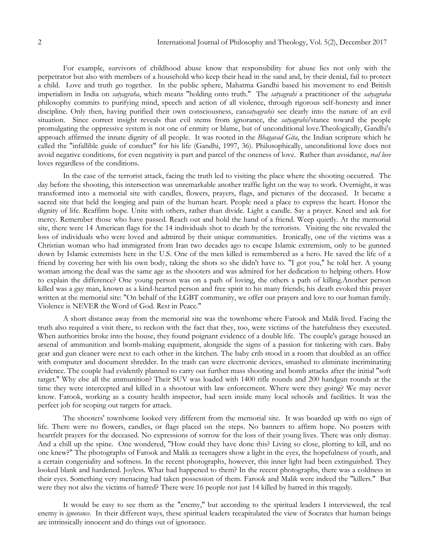For example, survivors of childhood abuse know that responsibility for abuse lies not only with the perpetrator but also with members of a household who keep their head in the sand and, by their denial, fail to protect a child. Love and truth go together. In the public sphere, Mahatma Gandhi based his movement to end British imperialism in India on *satyagraha*, which means "holding onto truth." The *satyagrahi* a practitioner of the *satyagraha* philosophy commits to purifying mind, speech and action of all violence, through rigorous self-honesty and inner discipline. Only then, having purified their own consciousness, can*satyagrahis* see clearly into the nature of an evil situation. Since correct insight reveals that evil stems from ignorance, the *satyagrahis*'stance toward the people promulgating the oppressive system is not one of enmity or blame, but of unconditional love.Theologically, Gandhi's approach affirmed the innate dignity of all people. It was rooted in the *Bhagavad Gita*, the Indian scripture which he called the "infallible guide of conduct" for his life (Gandhi, 1997, 36). Philosophically, unconditional love does not avoid negative conditions, for even negativity is part and parcel of the oneness of love. Rather than avoidance, *real love* loves regardless of the conditions.

In the case of the terrorist attack, facing the truth led to visiting the place where the shooting occurred. The day before the shooting, this intersection was unremarkable another traffic light on the way to work. Overnight, it was transformed into a memorial site with candles, flowers, prayers, flags, and pictures of the deceased. It became a sacred site that held the longing and pain of the human heart. People need a place to express the heart. Honor the dignity of life. Reaffirm hope. Unite with others, rather than divide. Light a candle. Say a prayer. Kneel and ask for mercy. Remember those who have passed. Reach out and hold the hand of a friend. Weep quietly. At the memorial site, there were 14 American flags for the 14 individuals shot to death by the terrorists. Visiting the site revealed the loss of individuals who were loved and admired by their unique communities. Ironically, one of the victims was a Christian woman who had immigrated from Iran two decades ago to escape Islamic extremism, only to be gunned down by Islamic extremists here in the U.S. One of the men killed is remembered as a hero. He saved the life of a friend by covering her with his own body, taking the shots so she didn't have to. "I got you," he told her. A young woman among the dead was the same age as the shooters and was admired for her dedication to helping others. How to explain the difference? One young person was on a path of loving, the others a path of killing.Another person killed was a gay man, known as a kind-hearted person and free spirit to his many friends; his death evoked this prayer written at the memorial site: "On behalf of the LGBT community, we offer our prayers and love to our human family. Violence is NEVER the Word of God. Rest in Peace."

A short distance away from the memorial site was the townhome where Farook and Malik lived. Facing the truth also required a visit there, to reckon with the fact that they, too, were victims of the hatefulness they executed. When authorities broke into the house, they found poignant evidence of a double life. The couple's garage housed an arsenal of ammunition and bomb-making equipment, alongside the signs of a passion for tinkering with cars. Baby gear and gun cleaner were next to each other in the kitchen. The baby crib stood in a room that doubled as an office with computer and document shredder. In the trash can were electronic devices, smashed to eliminate incriminating evidence. The couple had evidently planned to carry out further mass shooting and bomb attacks after the initial "soft target." Why else all the ammunition? Their SUV was loaded with 1400 rifle rounds and 200 handgun rounds at the time they were intercepted and killed in a shootout with law enforcement. Where were they going? We may never know. Farook, working as a county health inspector, had seen inside many local schools and facilities. It was the perfect job for scoping out targets for attack.

The shooters' townhome looked very different from the memorial site. It was boarded up with no sign of life. There were no flowers, candles, or flags placed on the steps. No banners to affirm hope. No posters with heartfelt prayers for the deceased. No expressions of sorrow for the loss of their young lives. There was only dismay. And a chill up the spine. One wondered, "How could they have done this? Living so close, plotting to kill, and no one knew?" The photographs of Farook and Malik as teenagers show a light in the eyes, the hopefulness of youth, and a certain congeniality and softness. In the recent photographs, however, this inner light had been extinguished. They looked blank and hardened. Joyless. What had happened to them? In the recent photographs, there was a coldness in their eyes. Something very menacing had taken possession of them. Farook and Malik were indeed the "killers." But were they not also the victims of hatred? There were 16 people not just 14 killed by hatred in this tragedy.

It would be easy to see them as the "enemy," but according to the spiritual leaders I interviewed, the real enemy is *ignorance*. In their different ways, these spiritual leaders recapitulated the view of Socrates that human beings are intrinsically innocent and do things out of ignorance.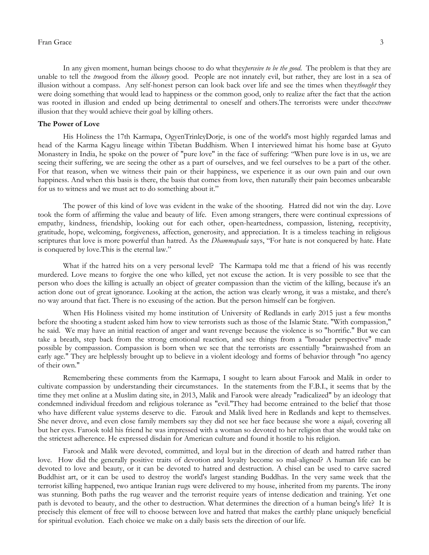## Fran Grace 3

In any given moment, human beings choose to do what they*perceive to be the good*. The problem is that they are unable to tell the *true*good from the *illusory* good. People are not innately evil, but rather, they are lost in a sea of illusion without a compass. Any self-honest person can look back over life and see the times when they*thought* they were doing something that would lead to happiness or the common good, only to realize after the fact that the action was rooted in illusion and ended up being detrimental to oneself and others.The terrorists were under the*extreme* illusion that they would achieve their goal by killing others.

#### **The Power of Love**

His Holiness the 17th Karmapa, OgyenTrinleyDorje, is one of the world's most highly regarded lamas and head of the Karma Kagyu lineage within Tibetan Buddhism. When I interviewed himat his home base at Gyuto Monastery in India, he spoke on the power of "pure love" in the face of suffering: "When pure love is in us, we are seeing their suffering, we are seeing the other as a part of ourselves, and we feel ourselves to be a part of the other. For that reason, when we witness their pain or their happiness, we experience it as our own pain and our own happiness. And when this basis is there, the basis that comes from love, then naturally their pain becomes unbearable for us to witness and we must act to do something about it."

The power of this kind of love was evident in the wake of the shooting. Hatred did not win the day. Love took the form of affirming the value and beauty of life. Even among strangers, there were continual expressions of empathy, kindness, friendship, looking out for each other, open-heartedness, compassion, listening, receptivity, gratitude, hope, welcoming, forgiveness, affection, generosity, and appreciation. It is a timeless teaching in religious scriptures that love is more powerful than hatred. As the *Dhammapada* says, "For hate is not conquered by hate. Hate is conquered by love.This is the eternal law."

What if the hatred hits on a very personal level? The Karmapa told me that a friend of his was recently murdered. Love means to forgive the one who killed, yet not excuse the action. It is very possible to see that the person who does the killing is actually an object of greater compassion than the victim of the killing, because it's an action done out of great ignorance. Looking at the action, the action was clearly wrong, it was a mistake, and there's no way around that fact. There is no excusing of the action. But the person himself can be forgiven.

When His Holiness visited my home institution of University of Redlands in early 2015 just a few months before the shooting a student asked him how to view terrorists such as those of the Islamic State. "With compassion," he said. We may have an initial reaction of anger and want revenge because the violence is so "horrific." But we can take a breath, step back from the strong emotional reaction, and see things from a "broader perspective" made possible by compassion. Compassion is born when we see that the terrorists are essentially "brainwashed from an early age." They are helplessly brought up to believe in a violent ideology and forms of behavior through "no agency of their own."

Remembering these comments from the Karmapa, I sought to learn about Farook and Malik in order to cultivate compassion by understanding their circumstances. In the statements from the F.B.I., it seems that by the time they met online at a Muslim dating site, in 2013, Malik and Farook were already "radicalized" by an ideology that condemned individual freedom and religious tolerance as "evil."They had become entrained to the belief that those who have different value systems deserve to die. Farouk and Malik lived here in Redlands and kept to themselves. She never drove, and even close family members say they did not see her face because she wore a *niqab*, covering all but her eyes. Farook told his friend he was impressed with a woman so devoted to her religion that she would take on the strictest adherence. He expressed disdain for American culture and found it hostile to his religion.

Farook and Malik were devoted, committed, and loyal but in the direction of death and hatred rather than love. How did the generally positive traits of devotion and loyalty become so mal-aligned? A human life can be devoted to love and beauty, or it can be devoted to hatred and destruction. A chisel can be used to carve sacred Buddhist art, or it can be used to destroy the world's largest standing Buddhas. In the very same week that the terrorist killing happened, two antique Iranian rugs were delivered to my house, inherited from my parents. The irony was stunning. Both paths the rug weaver and the terrorist require years of intense dedication and training. Yet one path is devoted to beauty, and the other to destruction. What determines the direction of a human being's life? It is precisely this element of free will to choose between love and hatred that makes the earthly plane uniquely beneficial for spiritual evolution. Each choice we make on a daily basis sets the direction of our life.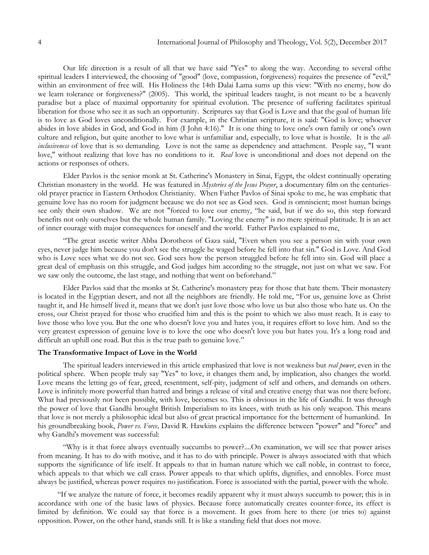Our life direction is a result of all that we have said "Yes" to along the way. According to several ofthe spiritual leaders I interviewed, the choosing of "good" (love, compassion, forgiveness) requires the presence of "evil," within an environment of free will. His Holiness the 14th Dalai Lama sums up this view: "With no enemy, how do we learn tolerance or forgiveness?" (2005). This world, the spiritual leaders taught, is not meant to be a heavenly paradise but a place of maximal opportunity for spiritual evolution. The presence of suffering facilitates spiritual liberation for those who see it as such an opportunity. Scriptures say that God is Love and that the goal of human life is to love as God loves unconditionally. For example, in the Christian scripture, it is said: "God is love; whoever abides in love abides in God, and God in him (I John 4:16)." It is one thing to love one's own family or one's own culture and religion, but quite another to love what is unfamiliar and, especially, to love what is hostile. It is the *allinclusiveness* of love that is so demanding. Love is not the same as dependency and attachment. People say, "I want love," without realizing that love has no conditions to it. *Real* love is unconditional and does not depend on the actions or responses of others.

Elder Pavlos is the senior monk at St. Catherine's Monastery in Sinai, Egypt, the oldest continually operating Christian monastery in the world. He was featured in *Mysteries of the Jesus Prayer*, a documentary film on the centuriesold prayer practice in Eastern Orthodox Christianity. When Father Pavlos of Sinai spoke to me, he was emphatic that genuine love has no room for judgment because we do not see as God sees. God is omniscient; most human beings see only their own shadow. We are not "forced to love our enemy, "he said, but if we do so, this step forward benefits not only ourselves but the whole human family. "Loving the enemy" is no mere spiritual platitude. It is an act of inner courage with major consequences for oneself and the world. Father Pavlos explained to me,

"The great ascetic writer Abba Dorotheos of Gaza said, "Even when you see a person sin with your own eyes, never judge him because you don't see the struggle he waged before he fell into that sin." God is Love. And God who is Love sees what we do not see. God sees how the person struggled before he fell into sin. God will place a great deal of emphasis on this struggle, and God judges him according to the struggle, not just on what we saw. For we saw only the outcome, the last stage, and nothing that went on beforehand."

Elder Pavlos said that the monks at St. Catherine's monastery pray for those that hate them. Their monastery is located in the Egyptian desert, and not all the neighbors are friendly. He told me, "For us, genuine love as Christ taught it, and He himself lived it, means that we don't just love those who love us but also those who hate us. On the cross, our Christ prayed for those who crucified him and this is the point to which we also must reach. It is easy to love those who love you. But the one who doesn't love you and hates you, it requires effort to love him. And so the very greatest expression of genuine love is to love the one who doesn't love you but hates you. It's a long road and difficult an uphill one road. But this is the true path to genuine love."

#### **The Transformative Impact of Love in the World**

The spiritual leaders interviewed in this article emphasized that love is not weakness but *real power*, even in the political sphere. When people truly say "Yes" to love, it changes them and, by implication, also changes the world. Love means the letting go of fear, greed, resentment, self-pity, judgment of self and others, and demands on others. Love is infinitely more powerful than hatred and brings a release of vital and creative energy that was not there before. What had previously not been possible, with love, becomes so. This is obvious in the life of Gandhi. It was through the power of love that Gandhi brought British Imperialism to its knees, with truth as his only weapon. This means that love is not merely a philosophic ideal but also of great practical importance for the betterment of humankind. In his groundbreaking book, *Power vs. Force,* David R. Hawkins explains the difference between "power" and "force" and why Gandhi's movement was successful:

"Why is it that force always eventually succumbs to power?....On examination, we will see that power arises from meaning. It has to do with motive, and it has to do with principle. Power is always associated with that which supports the significance of life itself. It appeals to that in human nature which we call noble, in contrast to force, which appeals to that which we call crass. Power appeals to that which uplifts, dignifies, and ennobles. Force must always be justified, whereas power requires no justification. Force is associated with the partial, power with the whole.

"If we analyze the nature of force, it becomes readily apparent why it must always succumb to power; this is in accordance with one of the basic laws of physics. Because force automatically creates counter-force, its effect is limited by definition. We could say that force is a movement. It goes from here to there (or tries to) against opposition. Power, on the other hand, stands still. It is like a standing field that does not move.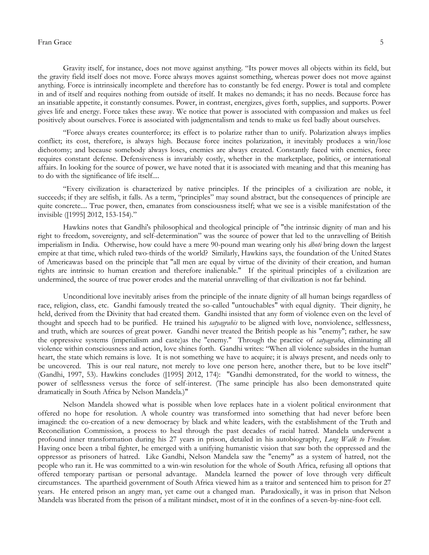## Fran Grace 55 and 55 and 55 and 55 and 55 and 55 and 55 and 55 and 55 and 55 and 55 and 55 and 55 and 55 and 55 and 55 and 55 and 55 and 55 and 55 and 55 and 55 and 55 and 55 and 55 and 55 and 55 and 55 and 55 and 55 and 5

Gravity itself, for instance, does not move against anything. "Its power moves all objects within its field, but the gravity field itself does not move. Force always moves against something, whereas power does not move against anything. Force is intrinsically incomplete and therefore has to constantly be fed energy. Power is total and complete in and of itself and requires nothing from outside of itself. It makes no demands; it has no needs. Because force has an insatiable appetite, it constantly consumes. Power, in contrast, energizes, gives forth, supplies, and supports. Power gives life and energy. Force takes these away. We notice that power is associated with compassion and makes us feel positively about ourselves. Force is associated with judgmentalism and tends to make us feel badly about ourselves.

"Force always creates counterforce; its effect is to polarize rather than to unify. Polarization always implies conflict; its cost, therefore, is always high. Because force incites polarization, it inevitably produces a win/lose dichotomy; and because somebody always loses, enemies are always created. Constantly faced with enemies, force requires constant defense. Defensiveness is invariably costly, whether in the marketplace, politics, or international affairs. In looking for the source of power, we have noted that it is associated with meaning and that this meaning has to do with the significance of life itself....

"Every civilization is characterized by native principles. If the principles of a civilization are noble, it succeeds; if they are selfish, it falls. As a term, "principles" may sound abstract, but the consequences of principle are quite concrete.... True power, then, emanates from consciousness itself; what we see is a visible manifestation of the invisible ([1995] 2012, 153-154)."

Hawkins notes that Gandhi's philosophical and theological principle of "the intrinsic dignity of man and his right to freedom, sovereignty, and self-determination" was the source of power that led to the unravelling of British imperialism in India. Otherwise, how could have a mere 90-pound man wearing only his *dhoti* bring down the largest empire at that time, which ruled two-thirds of the world? Similarly, Hawkins says, the foundation of the United States of Americawas based on the principle that "all men are equal by virtue of the divinity of their creation, and human rights are intrinsic to human creation and therefore inalienable." If the spiritual principles of a civilization are undermined, the source of true power erodes and the material unravelling of that civilization is not far behind.

Unconditional love inevitably arises from the principle of the innate dignity of all human beings regardless of race, religion, class, etc. Gandhi famously treated the so-called "untouchables" with equal dignity. Their dignity, he held, derived from the Divinity that had created them. Gandhi insisted that any form of violence even on the level of thought and speech had to be purified. He trained his *satyagrahis* to be aligned with love, nonviolence, selflessness, and truth, which are sources of great power. Gandhi never treated the British people as his "enemy"; rather, he saw the oppressive systems (imperialism and caste)as the "enemy." Through the practice of *satyagraha*, eliminating all violence within consciousness and action, love shines forth. Gandhi writes: "When all violence subsides in the human heart, the state which remains is love. It is not something we have to acquire; it is always present, and needs only to be uncovered. This is our real nature, not merely to love one person here, another there, but to be love itself" (Gandhi, 1997, 53). Hawkins concludes ([1995] 2012, 174): "Gandhi demonstrated, for the world to witness, the power of selflessness versus the force of self-interest. (The same principle has also been demonstrated quite dramatically in South Africa by Nelson Mandela.)"

Nelson Mandela showed what is possible when love replaces hate in a violent political environment that offered no hope for resolution. A whole country was transformed into something that had never before been imagined: the co-creation of a new democracy by black and white leaders, with the establishment of the Truth and Reconciliation Commission, a process to heal through the past decades of racial hatred. Mandela underwent a profound inner transformation during his 27 years in prison, detailed in his autobiography, *Long Walk to Freedom.*  Having once been a tribal fighter, he emerged with a unifying humanistic vision that saw both the oppressed and the oppressor as prisoners of hatred. Like Gandhi, Nelson Mandela saw the "enemy" as a system of hatred, not the people who ran it. He was committed to a win-win resolution for the whole of South Africa, refusing all options that offered temporary partisan or personal advantage. Mandela learned the power of love through very difficult circumstances. The apartheid government of South Africa viewed him as a traitor and sentenced him to prison for 27 years. He entered prison an angry man, yet came out a changed man. Paradoxically, it was in prison that Nelson Mandela was liberated from the prison of a militant mindset, most of it in the confines of a seven-by-nine-foot cell.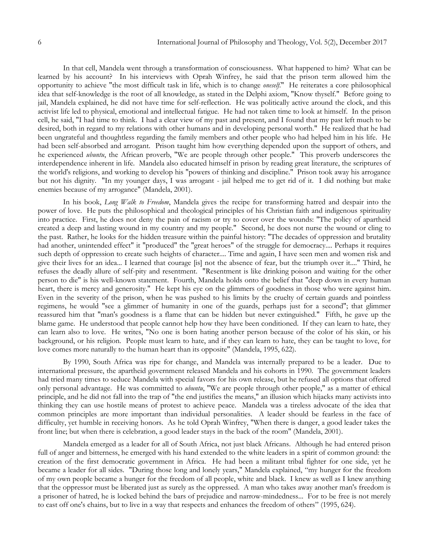In that cell, Mandela went through a transformation of consciousness. What happened to him? What can be learned by his account? In his interviews with Oprah Winfrey, he said that the prison term allowed him the opportunity to achieve "the most difficult task in life, which is to change *oneself*." He reiterates a core philosophical idea that self-knowledge is the root of all knowledge, as stated in the Delphi axiom, "Know thyself." Before going to jail, Mandela explained, he did not have time for self-reflection. He was politically active around the clock, and this activist life led to physical, emotional and intellectual fatigue. He had not taken time to look at himself. In the prison cell, he said, "I had time to think. I had a clear view of my past and present, and I found that my past left much to be desired, both in regard to my relations with other humans and in developing personal worth." He realized that he had been ungrateful and thoughtless regarding the family members and other people who had helped him in his life. He had been self-absorbed and arrogant. Prison taught him how everything depended upon the support of others, and he experienced *ubuntu*, the African proverb, "We are people through other people." This proverb underscores the interdependence inherent in life. Mandela also educated himself in prison by reading great literature, the scriptures of the world's religions, and working to develop his "powers of thinking and discipline." Prison took away his arrogance but not his dignity. "In my younger days, I was arrogant - jail helped me to get rid of it. I did nothing but make enemies because of my arrogance" (Mandela, 2001).

In his book, *Long Walk to Freedom*, Mandela gives the recipe for transforming hatred and despair into the power of love. He puts the philosophical and theological principles of his Christian faith and indigenous spirituality into practice. First, he does not deny the pain of racism or try to cover over the wounds: "The policy of apartheid created a deep and lasting wound in my country and my people." Second, he does not nurse the wound or cling to the past. Rather, he looks for the hidden treasure within the painful history: "The decades of oppression and brutality had another, unintended effect" it "produced" the "great heroes" of the struggle for democracy.... Perhaps it requires such depth of oppression to create such heights of character.... Time and again, I have seen men and women risk and give their lives for an idea... I learned that courage [is] not the absence of fear, but the triumph over it...." Third, he refuses the deadly allure of self-pity and resentment. "Resentment is like drinking poison and waiting for the other person to die" is his well-known statement. Fourth, Mandela holds onto the belief that "deep down in every human heart, there is mercy and generosity." He kept his eye on the glimmers of goodness in those who were against him. Even in the severity of the prison, when he was pushed to his limits by the cruelty of certain guards and pointless regimens, he would "see a glimmer of humanity in one of the guards, perhaps just for a second"; that glimmer reassured him that "man's goodness is a flame that can be hidden but never extinguished." Fifth, he gave up the blame game. He understood that people cannot help how they have been conditioned. If they can learn to hate, they can learn also to love. He writes, "No one is born hating another person because of the color of his skin, or his background, or his religion. People must learn to hate, and if they can learn to hate, they can be taught to love, for love comes more naturally to the human heart than its opposite" (Mandela, 1995, 622).

By 1990, South Africa was ripe for change, and Mandela was internally prepared to be a leader. Due to international pressure, the apartheid government released Mandela and his cohorts in 1990. The government leaders had tried many times to seduce Mandela with special favors for his own release, but he refused all options that offered only personal advantage. He was committed to *ubuntu*, "We are people through other people," as a matter of ethical principle, and he did not fall into the trap of "the end justifies the means," an illusion which hijacks many activists into thinking they can use hostile means of protest to achieve peace. Mandela was a tireless advocate of the idea that common principles are more important than individual personalities. A leader should be fearless in the face of difficulty, yet humble in receiving honors. As he told Oprah Winfrey, "When there is danger, a good leader takes the front line; but when there is celebration, a good leader stays in the back of the room" (Mandela, 2001).

Mandela emerged as a leader for all of South Africa, not just black Africans. Although he had entered prison full of anger and bitterness, he emerged with his hand extended to the white leaders in a spirit of common ground: the creation of the first democratic government in Africa. He had been a militant tribal fighter for one side, yet he became a leader for all sides. "During those long and lonely years," Mandela explained, "my hunger for the freedom of my own people became a hunger for the freedom of all people, white and black. I knew as well as I knew anything that the oppressor must be liberated just as surely as the oppressed. A man who takes away another man's freedom is a prisoner of hatred, he is locked behind the bars of prejudice and narrow-mindedness... For to be free is not merely to cast off one's chains, but to live in a way that respects and enhances the freedom of others" (1995, 624).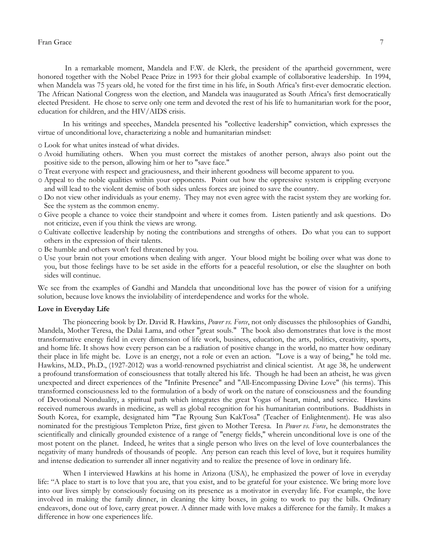## Fran Grace 77

In a remarkable moment, Mandela and F.W. de Klerk, the president of the apartheid government, were honored together with the Nobel Peace Prize in 1993 for their global example of collaborative leadership. In 1994, when Mandela was 75 years old, he voted for the first time in his life, in South Africa's first-ever democratic election. The African National Congress won the election, and Mandela was inaugurated as South Africa"s first democratically elected President. He chose to serve only one term and devoted the rest of his life to humanitarian work for the poor, education for children, and the HIV/AIDS crisis.

In his writings and speeches, Mandela presented his "collective leadership" conviction, which expresses the virtue of unconditional love, characterizing a noble and humanitarian mindset:

o Look for what unites instead of what divides.

- o Avoid humiliating others. When you must correct the mistakes of another person, always also point out the positive side to the person, allowing him or her to "save face."
- o Treat everyone with respect and graciousness, and their inherent goodness will become apparent to you.
- o Appeal to the noble qualities within your opponents. Point out how the oppressive system is crippling everyone and will lead to the violent demise of both sides unless forces are joined to save the country.
- o Do not view other individuals as your enemy. They may not even agree with the racist system they are working for. See the system as the common enemy.
- o Give people a chance to voice their standpoint and where it comes from. Listen patiently and ask questions. Do not criticize, even if you think the views are wrong.
- o Cultivate collective leadership by noting the contributions and strengths of others. Do what you can to support others in the expression of their talents.
- o Be humble and others won't feel threatened by you.
- o Use your brain not your emotions when dealing with anger. Your blood might be boiling over what was done to you, but those feelings have to be set aside in the efforts for a peaceful resolution, or else the slaughter on both sides will continue.

We see from the examples of Gandhi and Mandela that unconditional love has the power of vision for a unifying solution, because love knows the inviolability of interdependence and works for the whole.

#### **Love in Everyday Life**

The pioneering book by Dr. David R. Hawkins, *Power vs. Force*, not only discusses the philosophies of Gandhi, Mandela, Mother Teresa, the Dalai Lama, and other "great souls." The book also demonstrates that love is the most transformative energy field in every dimension of life work, business, education, the arts, politics, creativity, sports, and home life. It shows how every person can be a radiation of positive change in the world, no matter how ordinary their place in life might be. Love is an energy, not a role or even an action. "Love is a way of being," he told me. Hawkins, M.D., Ph.D., (1927-2012) was a world-renowned psychiatrist and clinical scientist. At age 38, he underwent a profound transformation of consciousness that totally altered his life. Though he had been an atheist, he was given unexpected and direct experiences of the "Infinite Presence" and "All-Encompassing Divine Love" (his terms). This transformed consciousness led to the formulation of a body of work on the nature of consciousness and the founding of Devotional Nonduality, a spiritual path which integrates the great Yogas of heart, mind, and service. Hawkins received numerous awards in medicine, as well as global recognition for his humanitarian contributions. Buddhists in South Korea, for example, designated him "Tae Ryoung Sun KakTosa" (Teacher of Enlightenment). He was also nominated for the prestigious Templeton Prize, first given to Mother Teresa. In *Power vs. Force*, he demonstrates the scientifically and clinically grounded existence of a range of "energy fields," wherein unconditional love is one of the most potent on the planet. Indeed, he writes that a single person who lives on the level of love counterbalances the negativity of many hundreds of thousands of people. Any person can reach this level of love, but it requires humility and intense dedication to surrender all inner negativity and to realize the presence of love in ordinary life.

When I interviewed Hawkins at his home in Arizona (USA), he emphasized the power of love in everyday life: "A place to start is to love that you are, that you exist, and to be grateful for your existence. We bring more love into our lives simply by consciously focusing on its presence as a motivator in everyday life. For example, the love involved in making the family dinner, in cleaning the kitty boxes, in going to work to pay the bills. Ordinary endeavors, done out of love, carry great power. A dinner made with love makes a difference for the family. It makes a difference in how one experiences life.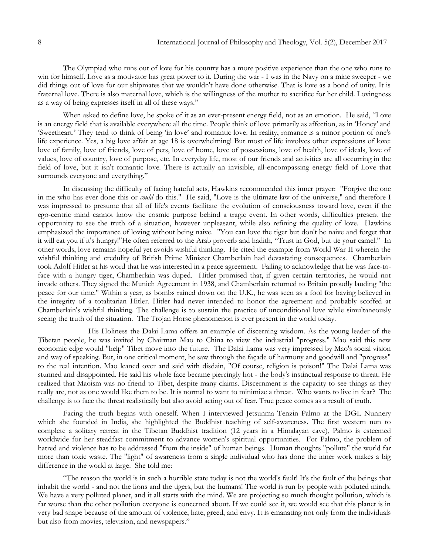The Olympiad who runs out of love for his country has a more positive experience than the one who runs to win for himself. Love as a motivator has great power to it. During the war - I was in the Navy on a mine sweeper - we did things out of love for our shipmates that we wouldn't have done otherwise. That is love as a bond of unity. It is fraternal love. There is also maternal love, which is the willingness of the mother to sacrifice for her child. Lovingness as a way of being expresses itself in all of these ways."

When asked to define love, he spoke of it as an ever-present energy field, not as an emotion. He said, "Love is an energy field that is available everywhere all the time. People think of love primarily as affection, as in "Honey" and "Sweetheart." They tend to think of being "in love" and romantic love. In reality, romance is a minor portion of one's life experience. Yes, a big love affair at age 18 is overwhelming! But most of life involves other expressions of love: love of family, love of friends, love of pets, love of home, love of possessions, love of health, love of ideals, love of values, love of country, love of purpose, etc. In everyday life, most of our friends and activities are all occurring in the field of love, but it isn't romantic love. There is actually an invisible, all-encompassing energy field of Love that surrounds everyone and everything."

In discussing the difficulty of facing hateful acts, Hawkins recommended this inner prayer: "Forgive the one in me who has ever done this or *could* do this." He said, "Love is the ultimate law of the universe," and therefore I was impressed to presume that all of life's events facilitate the evolution of consciousness toward love, even if the ego-centric mind cannot know the cosmic purpose behind a tragic event. In other words, difficulties present the opportunity to see the truth of a situation, however unpleasant, while also refining the quality of love. Hawkins emphasized the importance of loving without being naive. "You can love the tiger but don't be naive and forget that it will eat you if it's hungry!"He often referred to the Arab proverb and hadith, "Trust in God, but tie your camel." In other words, love remains hopeful yet avoids wishful thinking. He cited the example from World War II wherein the wishful thinking and credulity of British Prime Minister Chamberlain had devastating consequences. Chamberlain took Adolf Hitler at his word that he was interested in a peace agreement. Failing to acknowledge that he was face-toface with a hungry tiger, Chamberlain was duped. Hitler promised that, if given certain territories, he would not invade others. They signed the Munich Agreement in 1938, and Chamberlain returned to Britain proudly lauding "the peace for our time." Within a year, as bombs rained down on the U.K., he was seen as a fool for having believed in the integrity of a totalitarian Hitler. Hitler had never intended to honor the agreement and probably scoffed at Chamberlain's wishful thinking. The challenge is to sustain the practice of unconditional love while simultaneously seeing the truth of the situation. The Trojan Horse phenomenon is ever present in the world today.

His Holiness the Dalai Lama offers an example of discerning wisdom. As the young leader of the Tibetan people, he was invited by Chairman Mao to China to view the industrial "progress." Mao said this new economic edge would "help" Tibet move into the future. The Dalai Lama was very impressed by Mao's social vision and way of speaking. But, in one critical moment, he saw through the façade of harmony and goodwill and "progress" to the real intention. Mao leaned over and said with disdain, "Of course, religion is poison!" The Dalai Lama was stunned and disappointed. He said his whole face became piercingly hot - the body's instinctual response to threat. He realized that Maoism was no friend to Tibet, despite many claims. Discernment is the capacity to see things as they really are, not as one would like them to be. It is normal to want to minimize a threat. Who wants to live in fear? The challenge is to face the threat realistically but also avoid acting out of fear. True peace comes as a result of truth.

Facing the truth begins with oneself. When I interviewed Jetsunma Tenzin Palmo at the DGL Nunnery which she founded in India, she highlighted the Buddhist teaching of self-awareness. The first western nun to complete a solitary retreat in the Tibetan Buddhist tradition (12 years in a Himalayan cave), Palmo is esteemed worldwide for her steadfast commitment to advance women's spiritual opportunities. For Palmo, the problem of hatred and violence has to be addressed "from the inside" of human beings. Human thoughts "pollute" the world far more than toxic waste. The "light" of awareness from a single individual who has done the inner work makes a big difference in the world at large. She told me:

"The reason the world is in such a horrible state today is not the world's fault! It's the fault of the beings that inhabit the world - and not the lions and the tigers, but the humans! The world is run by people with polluted minds. We have a very polluted planet, and it all starts with the mind. We are projecting so much thought pollution, which is far worse than the other pollution everyone is concerned about. If we could see it, we would see that this planet is in very bad shape because of the amount of violence, hate, greed, and envy. It is emanating not only from the individuals but also from movies, television, and newspapers."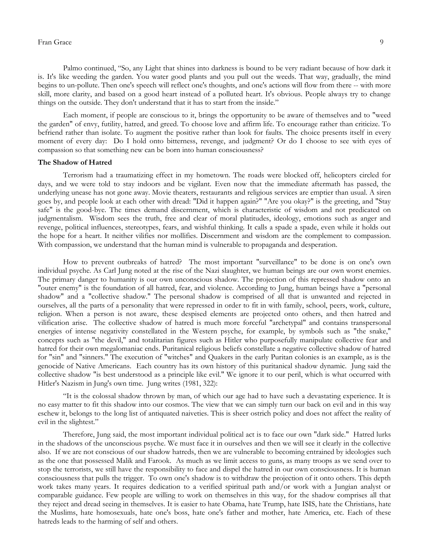## Fran Grace 99 and 1992 and 1993 and 1993 and 1994 and 1994 and 1994 and 1994 and 1994 and 1994 and 1994 and 19

Palmo continued, "So, any Light that shines into darkness is bound to be very radiant because of how dark it is. It's like weeding the garden. You water good plants and you pull out the weeds. That way, gradually, the mind begins to un-pollute. Then one's speech will reflect one's thoughts, and one's actions will flow from there -- with more skill, more clarity, and based on a good heart instead of a polluted heart. It's obvious. People always try to change things on the outside. They don't understand that it has to start from the inside."

Each moment, if people are conscious to it, brings the opportunity to be aware of themselves and to "weed the garden" of envy, futility, hatred, and greed. To choose love and affirm life. To encourage rather than criticize. To befriend rather than isolate. To augment the positive rather than look for faults. The choice presents itself in every moment of every day: Do I hold onto bitterness, revenge, and judgment? Or do I choose to see with eyes of compassion so that something new can be born into human consciousness?

#### **The Shadow of Hatred**

Terrorism had a traumatizing effect in my hometown. The roads were blocked off, helicopters circled for days, and we were told to stay indoors and be vigilant. Even now that the immediate aftermath has passed, the underlying unease has not gone away. Movie theaters, restaurants and religious services are emptier than usual. A siren goes by, and people look at each other with dread: "Did it happen again?" "Are you okay?" is the greeting, and "Stay safe" is the good-bye. The times demand discernment, which is characteristic of wisdom and not predicated on judgmentalism. Wisdom sees the truth, free and clear of moral platitudes, ideology, emotions such as anger and revenge, political influences, stereotypes, fears, and wishful thinking. It calls a spade a spade, even while it holds out the hope for a heart. It neither vilifies nor mollifies. Discernment and wisdom are the complement to compassion. With compassion, we understand that the human mind is vulnerable to propaganda and desperation.

How to prevent outbreaks of hatred? The most important "surveillance" to be done is on one's own individual psyche. As Carl Jung noted at the rise of the Nazi slaughter, we human beings are our own worst enemies. The primary danger to humanity is our own unconscious shadow. The projection of this repressed shadow onto an "outer enemy" is the foundation of all hatred, fear, and violence. According to Jung, human beings have a "personal shadow" and a "collective shadow." The personal shadow is comprised of all that is unwanted and rejected in ourselves, all the parts of a personality that were repressed in order to fit in with family, school, peers, work, culture, religion. When a person is not aware, these despised elements are projected onto others, and then hatred and vilification arise. The collective shadow of hatred is much more forceful "archetypal" and contains transpersonal energies of intense negativity constellated in the Western psyche, for example, by symbols such as "the snake," concepts such as "the devil," and totalitarian figures such as Hitler who purposefully manipulate collective fear and hatred for their own megalomaniac ends. Puritanical religious beliefs constellate a negative collective shadow of hatred for "sin" and "sinners." The execution of "witches" and Quakers in the early Puritan colonies is an example, as is the genocide of Native Americans. Each country has its own history of this puritanical shadow dynamic. Jung said the collective shadow "is best understood as a principle like evil." We ignore it to our peril, which is what occurred with Hitler's Nazism in Jung's own time. Jung writes (1981, 322):

"It is the colossal shadow thrown by man, of which our age had to have such a devastating experience. It is no easy matter to fit this shadow into our cosmos. The view that we can simply turn our back on evil and in this way eschew it, belongs to the long list of antiquated naiveties. This is sheer ostrich policy and does not affect the reality of evil in the slightest."

Therefore, Jung said, the most important individual political act is to face our own "dark side." Hatred lurks in the shadows of the unconscious psyche. We must face it in ourselves and then we will see it clearly in the collective also. If we are not conscious of our shadow hatreds, then we are vulnerable to becoming entrained by ideologies such as the one that possessed Malik and Farook. As much as we limit access to guns, as many troops as we send over to stop the terrorists, we still have the responsibility to face and dispel the hatred in our own consciousness. It is human consciousness that pulls the trigger. To own one's shadow is to withdraw the projection of it onto others. This depth work takes many years. It requires dedication to a verified spiritual path and/or work with a Jungian analyst or comparable guidance. Few people are willing to work on themselves in this way, for the shadow comprises all that they reject and dread seeing in themselves. It is easier to hate Obama, hate Trump, hate ISIS, hate the Christians, hate the Muslims, hate homosexuals, hate one's boss, hate one's father and mother, hate America, etc. Each of these hatreds leads to the harming of self and others.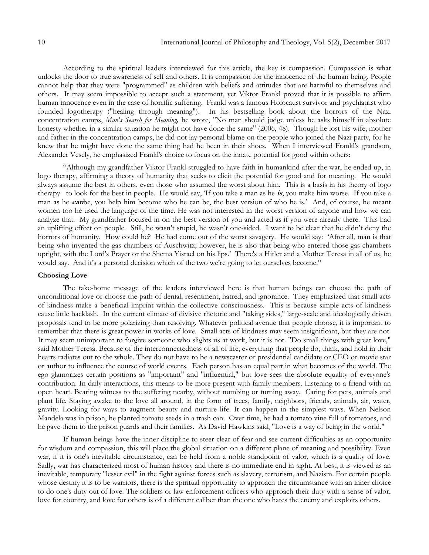According to the spiritual leaders interviewed for this article, the key is compassion. Compassion is what unlocks the door to true awareness of self and others. It is compassion for the innocence of the human being. People cannot help that they were "programmed" as children with beliefs and attitudes that are harmful to themselves and others. It may seem impossible to accept such a statement, yet Viktor Frankl proved that it is possible to affirm human innocence even in the case of horrific suffering. Frankl was a famous Holocaust survivor and psychiatrist who founded logotherapy ("healing through meaning"). In his bestselling book about the horrors of the Nazi concentration camps, *Man's Search for Meaning,* he wrote, "No man should judge unless he asks himself in absolute honesty whether in a similar situation he might not have done the same" (2006, 48). Though he lost his wife, mother and father in the concentration camps, he did not lay personal blame on the people who joined the Nazi party, for he knew that he might have done the same thing had he been in their shoes. When I interviewed Frankl's grandson, Alexander Vesely, he emphasized Frankl's choice to focus on the innate potential for good within others:

"Although my grandfather Viktor Frankl struggled to have faith in humankind after the war, he ended up, in logo therapy, affirming a theory of humanity that seeks to elicit the potential for good and for meaning. He would always assume the best in others, even those who assumed the worst about him. This is a basis in his theory of logo therapy to look for the best in people. He would say, "If you take a man as he **is**, you make him worse. If you take a man as he **can**be, you help him become who he can be, the best version of who he is." And, of course, he meant women too he used the language of the time. He was not interested in the worst version of anyone and how we can analyze that. My grandfather focused in on the best version of you and acted as if you were already there. This had an uplifting effect on people. Still, he wasn"t stupid, he wasn"t one-sided. I want to be clear that he didn"t deny the horrors of humanity. How could he? He had come out of the worst savagery. He would say: "After all, man is that being who invented the gas chambers of Auschwitz; however, he is also that being who entered those gas chambers upright, with the Lord's Prayer or the Shema Yisrael on his lips." There's a Hitler and a Mother Teresa in all of us, he would say. And it's a personal decision which of the two we're going to let ourselves become."

## **Choosing Love**

The take-home message of the leaders interviewed here is that human beings can choose the path of unconditional love or choose the path of denial, resentment, hatred, and ignorance. They emphasized that small acts of kindness make a beneficial imprint within the collective consciousness. This is because simple acts of kindness cause little backlash. In the current climate of divisive rhetoric and "taking sides," large-scale and ideologically driven proposals tend to be more polarizing than resolving. Whatever political avenue that people choose, it is important to remember that there is great power in works of love. Small acts of kindness may seem insignificant, but they are not. It may seem unimportant to forgive someone who slights us at work, but it is not. "Do small things with great love," said Mother Teresa. Because of the interconnectedness of all of life, everything that people do, think, and hold in their hearts radiates out to the whole. They do not have to be a newscaster or presidential candidate or CEO or movie star or author to influence the course of world events. Each person has an equal part in what becomes of the world. The ego glamorizes certain positions as "important" and "influential," but love sees the absolute equality of everyone's contribution. In daily interactions, this means to be more present with family members. Listening to a friend with an open heart. Bearing witness to the suffering nearby, without numbing or turning away. Caring for pets, animals and plant life. Staying awake to the love all around, in the form of trees, family, neighbors, friends, animals, air, water, gravity. Looking for ways to augment beauty and nurture life. It can happen in the simplest ways. When Nelson Mandela was in prison, he planted tomato seeds in a trash can. Over time, he had a tomato vine full of tomatoes, and he gave them to the prison guards and their families. As David Hawkins said, "Love is a way of being in the world."

If human beings have the inner discipline to steer clear of fear and see current difficulties as an opportunity for wisdom and compassion, this will place the global situation on a different plane of meaning and possibility. Even war, if it is one's inevitable circumstance, can be held from a noble standpoint of valor, which is a quality of love. Sadly, war has characterized most of human history and there is no immediate end in sight. At best, it is viewed as an inevitable, temporary "lesser evil" in the fight against forces such as slavery, terrorism, and Nazism. For certain people whose destiny it is to be warriors, there is the spiritual opportunity to approach the circumstance with an inner choice to do one's duty out of love. The soldiers or law enforcement officers who approach their duty with a sense of valor, love for country, and love for others is of a different caliber than the one who hates the enemy and exploits others.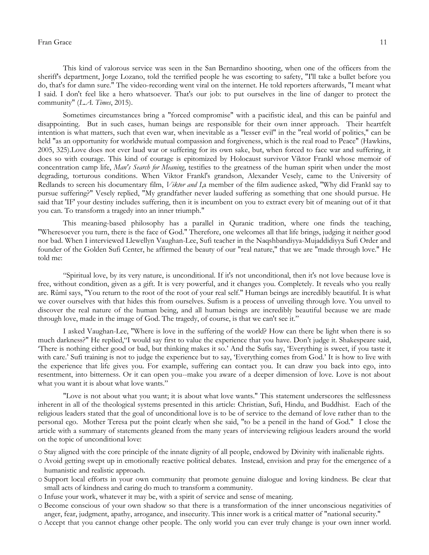## Fran Grace 11

This kind of valorous service was seen in the San Bernardino shooting, when one of the officers from the sheriff's department, Jorge Lozano, told the terrified people he was escorting to safety, "I'll take a bullet before you do, that's for damn sure." The video-recording went viral on the internet. He told reporters afterwards, "I meant what I said. I don't feel like a hero whatsoever. That's our job: to put ourselves in the line of danger to protect the community" (*L.A. Times*, 2015).

Sometimes circumstances bring a "forced compromise" with a pacifistic ideal, and this can be painful and disappointing. But in such cases, human beings are responsible for their own inner approach. Their heartfelt intention is what matters, such that even war, when inevitable as a "lesser evil" in the "real world of politics," can be held "as an opportunity for worldwide mutual compassion and forgiveness, which is the real road to Peace" (Hawkins, 2005, 325).Love does not ever laud war or suffering for its own sake, but, when forced to face war and suffering, it does so with courage. This kind of courage is epitomized by Holocaust survivor Viktor Frankl whose memoir of concentration camp life, *Man's Search for Meaning*, testifies to the greatness of the human spirit when under the most degrading, torturous conditions. When Viktor Frankl's grandson, Alexander Vesely, came to the University of Redlands to screen his documentary film, *Viktor and I*,a member of the film audience asked, "Why did Frankl say to pursue suffering?" Vesely replied, "My grandfather never lauded suffering as something that one should pursue. He said that 'IF' your destiny includes suffering, then it is incumbent on you to extract every bit of meaning out of it that you can. To transform a tragedy into an inner triumph."

This meaning-based philosophy has a parallel in Quranic tradition, where one finds the teaching, "Wheresoever you turn, there is the face of God." Therefore, one welcomes all that life brings, judging it neither good nor bad. When I interviewed Llewellyn Vaughan-Lee, Sufi teacher in the Naqshbandiyya-Mujaddidiyya Sufi Order and founder of the Golden Sufi Center, he affirmed the beauty of our "real nature," that we are "made through love." He told me:

"Spiritual love, by its very nature, is unconditional. If it's not unconditional, then it's not love because love is free, without condition, given as a gift. It is very powerful, and it changes you. Completely. It reveals who you really are. Rûmî says, "You return to the root of the root of your real self." Human beings are incredibly beautiful. It is what we cover ourselves with that hides this from ourselves. Sufism is a process of unveiling through love. You unveil to discover the real nature of the human being, and all human beings are incredibly beautiful because we are made through love, made in the image of God. The tragedy, of course, is that we can't see it."

I asked Vaughan-Lee, "Where is love in the suffering of the world? How can there be light when there is so much darkness?" He replied,"I would say first to value the experience that you have. Don't judge it. Shakespeare said, "There is nothing either good or bad, but thinking makes it so." And the Sufis say, "Everything is sweet, if you taste it with care.' Sufi training is not to judge the experience but to say, 'Everything comes from God.' It is how to live with the experience that life gives you. For example, suffering can contact you. It can draw you back into ego, into resentment, into bitterness. Or it can open you--make you aware of a deeper dimension of love. Love is not about what you want it is about what love wants."

"Love is not about what you want; it is about what love wants." This statement underscores the selflessness inherent in all of the theological systems presented in this article: Christian, Sufi, Hindu, and Buddhist. Each of the religious leaders stated that the goal of unconditional love is to be of service to the demand of love rather than to the personal ego. Mother Teresa put the point clearly when she said, "to be a pencil in the hand of God." I close the article with a summary of statements gleaned from the many years of interviewing religious leaders around the world on the topic of unconditional love:

- o Stay aligned with the core principle of the innate dignity of all people, endowed by Divinity with inalienable rights.
- o Avoid getting swept up in emotionally reactive political debates. Instead, envision and pray for the emergence of a humanistic and realistic approach.
- o Support local efforts in your own community that promote genuine dialogue and loving kindness. Be clear that small acts of kindness and caring do much to transform a community.
- o Infuse your work, whatever it may be, with a spirit of service and sense of meaning.
- o Become conscious of your own shadow so that there is a transformation of the inner unconscious negativities of anger, fear, judgment, apathy, arrogance, and insecurity. This inner work is a critical matter of "national security."
- o Accept that you cannot change other people. The only world you can ever truly change is your own inner world.